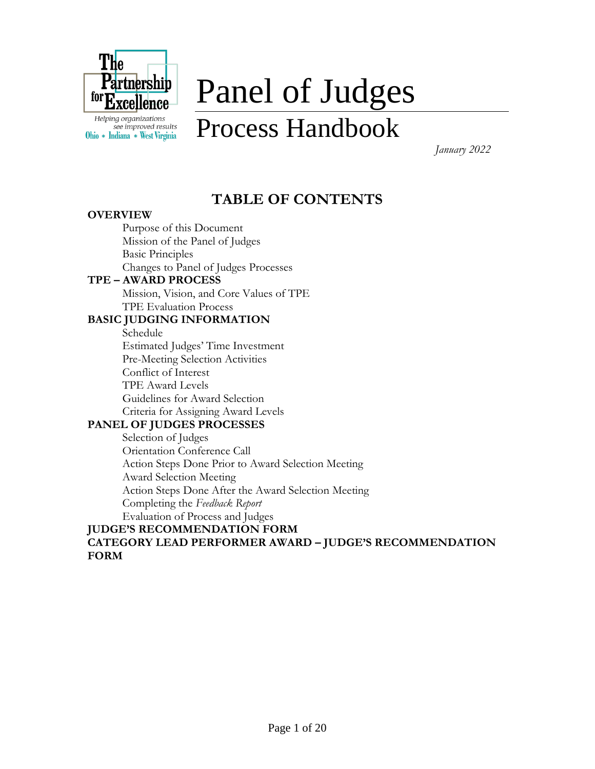

see improved results Ohio \* Indiana \* West Virginia

# Panel of Judges

## Process Handbook

 *January 2022*

## **TABLE OF CONTENTS**

#### **OVERVIEW**

Purpose of this Document Mission of the Panel of Judges Basic Principles Changes to Panel of Judges Processes

#### **TPE – AWARD PROCESS**

Mission, Vision, and Core Values of TPE TPE Evaluation Process

#### **BASIC JUDGING INFORMATION**

Schedule Estimated Judges' Time Investment Pre-Meeting Selection Activities Conflict of Interest TPE Award Levels Guidelines for Award Selection Criteria for Assigning Award Levels

#### **PANEL OF JUDGES PROCESSES**

Selection of Judges Orientation Conference Call Action Steps Done Prior to Award Selection Meeting Award Selection Meeting Action Steps Done After the Award Selection Meeting Completing the *Feedback Report* Evaluation of Process and Judges

#### **JUDGE'S RECOMMENDATION FORM CATEGORY LEAD PERFORMER AWARD – JUDGE'S RECOMMENDATION FORM**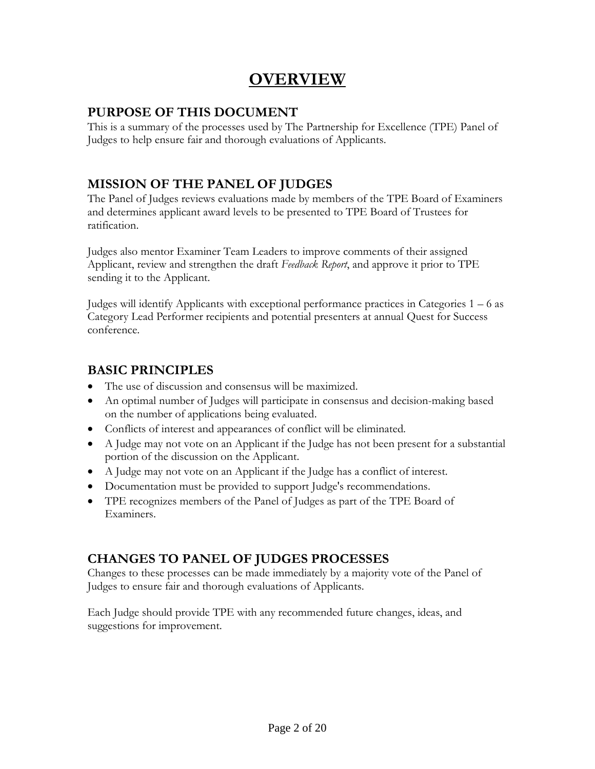## **OVERVIEW**

#### **PURPOSE OF THIS DOCUMENT**

This is a summary of the processes used by The Partnership for Excellence (TPE) Panel of Judges to help ensure fair and thorough evaluations of Applicants.

#### **MISSION OF THE PANEL OF JUDGES**

The Panel of Judges reviews evaluations made by members of the TPE Board of Examiners and determines applicant award levels to be presented to TPE Board of Trustees for ratification.

Judges also mentor Examiner Team Leaders to improve comments of their assigned Applicant, review and strengthen the draft *Feedback Report*, and approve it prior to TPE sending it to the Applicant.

Judges will identify Applicants with exceptional performance practices in Categories  $1 - 6$  as Category Lead Performer recipients and potential presenters at annual Quest for Success conference.

#### **BASIC PRINCIPLES**

- The use of discussion and consensus will be maximized.
- An optimal number of Judges will participate in consensus and decision-making based on the number of applications being evaluated.
- Conflicts of interest and appearances of conflict will be eliminated.
- A Judge may not vote on an Applicant if the Judge has not been present for a substantial portion of the discussion on the Applicant.
- A Judge may not vote on an Applicant if the Judge has a conflict of interest.
- Documentation must be provided to support Judge's recommendations.
- TPE recognizes members of the Panel of Judges as part of the TPE Board of Examiners.

#### **CHANGES TO PANEL OF JUDGES PROCESSES**

Changes to these processes can be made immediately by a majority vote of the Panel of Judges to ensure fair and thorough evaluations of Applicants.

Each Judge should provide TPE with any recommended future changes, ideas, and suggestions for improvement.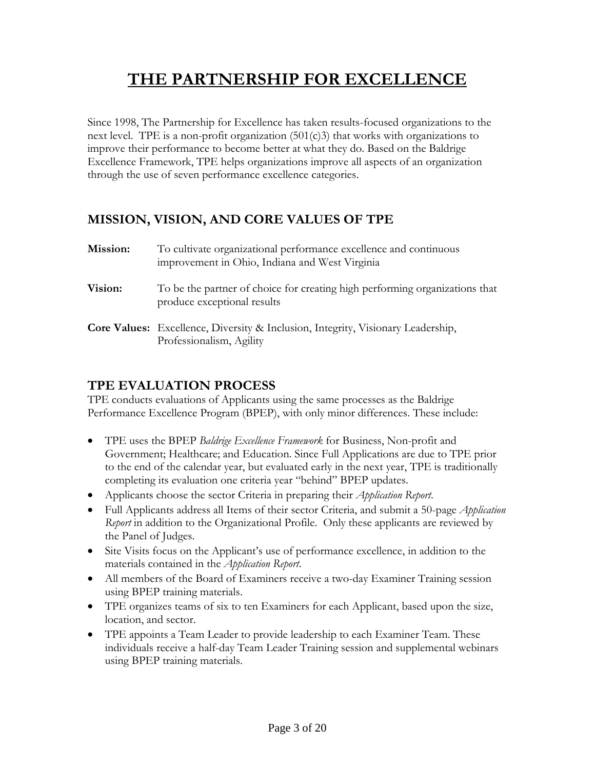## **THE PARTNERSHIP FOR EXCELLENCE**

Since 1998, The Partnership for Excellence has taken results-focused organizations to the next level. TPE is a non-profit organization  $(501(c)3)$  that works with organizations to improve their performance to become better at what they do. Based on the Baldrige Excellence Framework, TPE helps organizations improve all aspects of an organization through the use of seven performance excellence categories.

#### **MISSION, VISION, AND CORE VALUES OF TPE**

| Mission: | To cultivate organizational performance excellence and continuous<br>improvement in Ohio, Indiana and West Virginia |
|----------|---------------------------------------------------------------------------------------------------------------------|
| Vision:  | To be the partner of choice for creating high performing organizations that<br>produce exceptional results          |
|          | <b>Core Values:</b> Excellence, Diversity & Inclusion, Integrity, Visionary Leadership,<br>Professionalism, Agility |

#### **TPE EVALUATION PROCESS**

TPE conducts evaluations of Applicants using the same processes as the Baldrige Performance Excellence Program (BPEP), with only minor differences. These include:

- TPE uses the BPEP *Baldrige Excellence Framework* for Business, Non-profit and Government; Healthcare; and Education. Since Full Applications are due to TPE prior to the end of the calendar year, but evaluated early in the next year, TPE is traditionally completing its evaluation one criteria year "behind" BPEP updates.
- Applicants choose the sector Criteria in preparing their *Application Report*.
- Full Applicants address all Items of their sector Criteria, and submit a 50-page *Application Report* in addition to the Organizational Profile. Only these applicants are reviewed by the Panel of Judges.
- Site Visits focus on the Applicant's use of performance excellence, in addition to the materials contained in the *Application Report*.
- All members of the Board of Examiners receive a two-day Examiner Training session using BPEP training materials.
- TPE organizes teams of six to ten Examiners for each Applicant, based upon the size, location, and sector.
- TPE appoints a Team Leader to provide leadership to each Examiner Team. These individuals receive a half-day Team Leader Training session and supplemental webinars using BPEP training materials.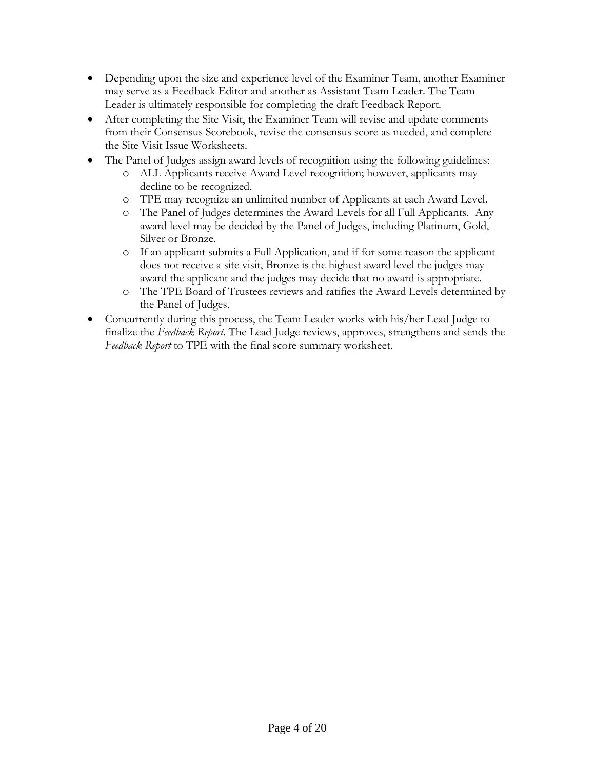- Depending upon the size and experience level of the Examiner Team, another Examiner may serve as a Feedback Editor and another as Assistant Team Leader. The Team Leader is ultimately responsible for completing the draft Feedback Report.
- After completing the Site Visit, the Examiner Team will revise and update comments from their Consensus Scorebook, revise the consensus score as needed, and complete the Site Visit Issue Worksheets.
- The Panel of Judges assign award levels of recognition using the following guidelines:
	- o ALL Applicants receive Award Level recognition; however, applicants may decline to be recognized.
	- o TPE may recognize an unlimited number of Applicants at each Award Level.
	- o The Panel of Judges determines the Award Levels for all Full Applicants. Any award level may be decided by the Panel of Judges, including Platinum, Gold, Silver or Bronze.
	- o If an applicant submits a Full Application, and if for some reason the applicant does not receive a site visit, Bronze is the highest award level the judges may award the applicant and the judges may decide that no award is appropriate.
	- o The TPE Board of Trustees reviews and ratifies the Award Levels determined by the Panel of Judges.
- Concurrently during this process, the Team Leader works with his/her Lead Judge to finalize the *Feedback Report*. The Lead Judge reviews, approves, strengthens and sends the *Feedback Report* to TPE with the final score summary worksheet.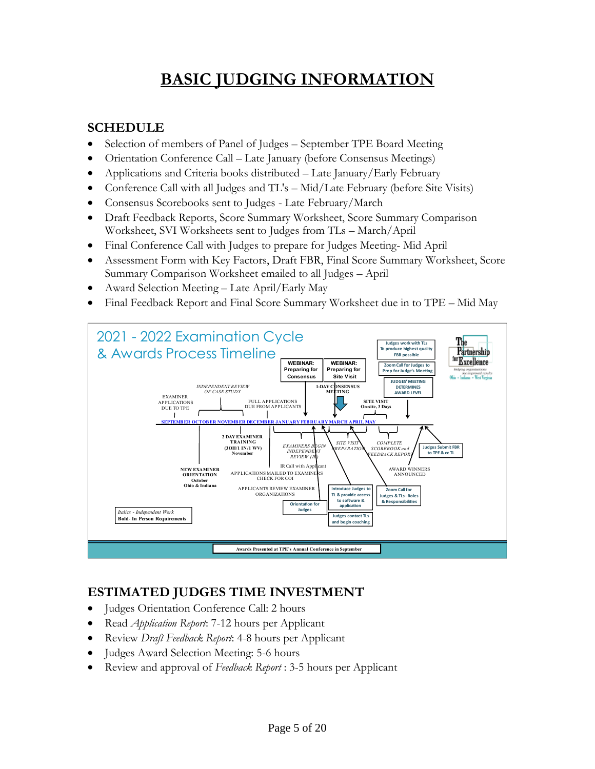## **BASIC JUDGING INFORMATION**

#### **SCHEDULE**

- Selection of members of Panel of Judges September TPE Board Meeting
- Orientation Conference Call Late January (before Consensus Meetings)
- Applications and Criteria books distributed Late January/Early February
- Conference Call with all Judges and TL's Mid/Late February (before Site Visits)
- Consensus Scorebooks sent to Judges Late February/March
- Draft Feedback Reports, Score Summary Worksheet, Score Summary Comparison Worksheet, SVI Worksheets sent to Judges from TLs – March/April
- Final Conference Call with Judges to prepare for Judges Meeting- Mid April
- Assessment Form with Key Factors, Draft FBR, Final Score Summary Worksheet, Score Summary Comparison Worksheet emailed to all Judges – April
- Award Selection Meeting Late April/Early May
- Final Feedback Report and Final Score Summary Worksheet due in to TPE Mid May



#### **ESTIMATED JUDGES TIME INVESTMENT**

- Judges Orientation Conference Call: 2 hours
- Read *Application Report*: 7-12 hours per Applicant
- Review *Draft Feedback Report*: 4-8 hours per Applicant
- Judges Award Selection Meeting: 5-6 hours
- Review and approval of *Feedback Report* : 3-5 hours per Applicant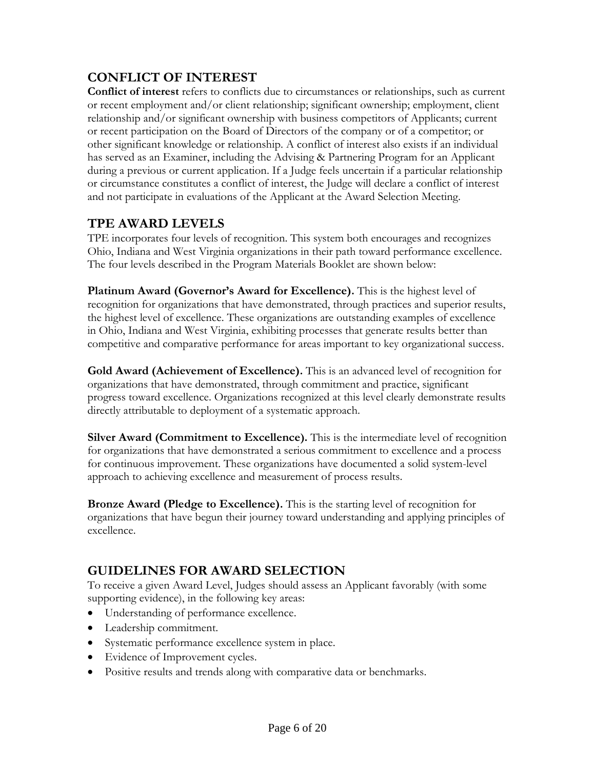#### **CONFLICT OF INTEREST**

**Conflict of interest** refers to conflicts due to circumstances or relationships, such as current or recent employment and/or client relationship; significant ownership; employment, client relationship and/or significant ownership with business competitors of Applicants; current or recent participation on the Board of Directors of the company or of a competitor; or other significant knowledge or relationship. A conflict of interest also exists if an individual has served as an Examiner, including the Advising & Partnering Program for an Applicant during a previous or current application. If a Judge feels uncertain if a particular relationship or circumstance constitutes a conflict of interest, the Judge will declare a conflict of interest and not participate in evaluations of the Applicant at the Award Selection Meeting.

#### **TPE AWARD LEVELS**

TPE incorporates four levels of recognition. This system both encourages and recognizes Ohio, Indiana and West Virginia organizations in their path toward performance excellence. The four levels described in the Program Materials Booklet are shown below:

**Platinum Award (Governor's Award for Excellence).** This is the highest level of recognition for organizations that have demonstrated, through practices and superior results, the highest level of excellence. These organizations are outstanding examples of excellence in Ohio, Indiana and West Virginia, exhibiting processes that generate results better than competitive and comparative performance for areas important to key organizational success.

**Gold Award (Achievement of Excellence).** This is an advanced level of recognition for organizations that have demonstrated, through commitment and practice, significant progress toward excellence. Organizations recognized at this level clearly demonstrate results directly attributable to deployment of a systematic approach.

**Silver Award (Commitment to Excellence).** This is the intermediate level of recognition for organizations that have demonstrated a serious commitment to excellence and a process for continuous improvement. These organizations have documented a solid system-level approach to achieving excellence and measurement of process results.

**Bronze Award (Pledge to Excellence).** This is the starting level of recognition for organizations that have begun their journey toward understanding and applying principles of excellence.

#### **GUIDELINES FOR AWARD SELECTION**

To receive a given Award Level, Judges should assess an Applicant favorably (with some supporting evidence), in the following key areas:

- Understanding of performance excellence.
- Leadership commitment.
- Systematic performance excellence system in place.
- Evidence of Improvement cycles.
- Positive results and trends along with comparative data or benchmarks.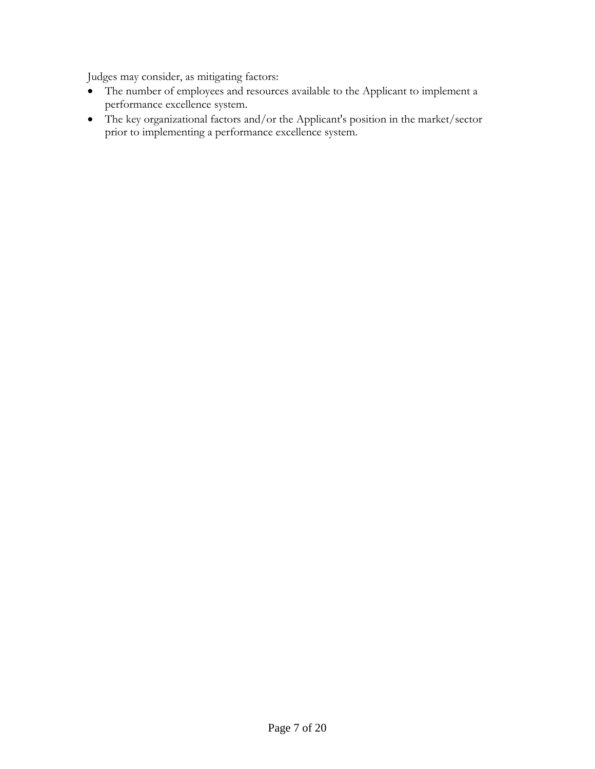Judges may consider, as mitigating factors:

- The number of employees and resources available to the Applicant to implement a performance excellence system.
- The key organizational factors and/or the Applicant's position in the market/sector prior to implementing a performance excellence system.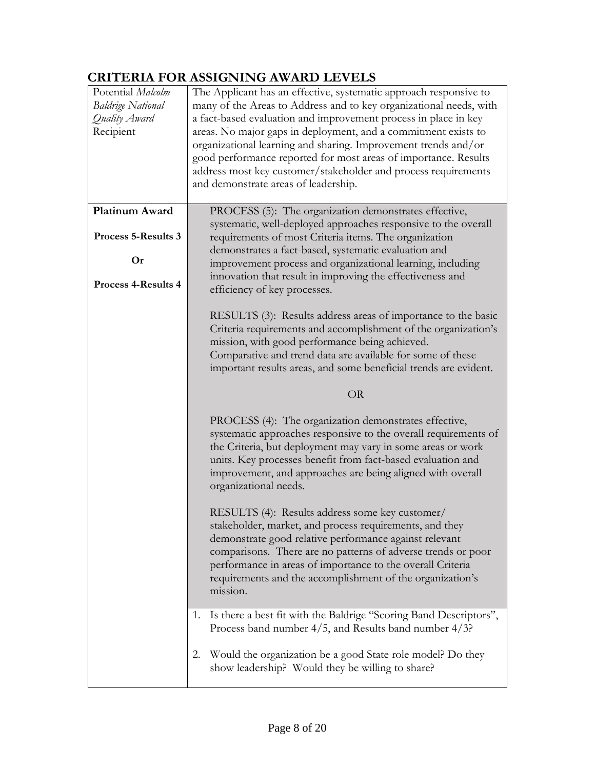#### **CRITERIA FOR ASSIGNING AWARD LEVELS**

| Potential Malcolm<br><b>Baldrige National</b><br>Quality Award<br>Recipient | The Applicant has an effective, systematic approach responsive to<br>many of the Areas to Address and to key organizational needs, with<br>a fact-based evaluation and improvement process in place in key<br>areas. No major gaps in deployment, and a commitment exists to<br>organizational learning and sharing. Improvement trends and/or<br>good performance reported for most areas of importance. Results<br>address most key customer/stakeholder and process requirements<br>and demonstrate areas of leadership. |  |  |  |  |  |
|-----------------------------------------------------------------------------|-----------------------------------------------------------------------------------------------------------------------------------------------------------------------------------------------------------------------------------------------------------------------------------------------------------------------------------------------------------------------------------------------------------------------------------------------------------------------------------------------------------------------------|--|--|--|--|--|
| Platinum Award<br>Process 5-Results 3<br>Or                                 | PROCESS (5): The organization demonstrates effective,<br>systematic, well-deployed approaches responsive to the overall<br>requirements of most Criteria items. The organization<br>demonstrates a fact-based, systematic evaluation and<br>improvement process and organizational learning, including                                                                                                                                                                                                                      |  |  |  |  |  |
| <b>Process 4-Results 4</b>                                                  | innovation that result in improving the effectiveness and<br>efficiency of key processes.<br>RESULTS (3): Results address areas of importance to the basic<br>Criteria requirements and accomplishment of the organization's<br>mission, with good performance being achieved.<br>Comparative and trend data are available for some of these<br>important results areas, and some beneficial trends are evident.                                                                                                            |  |  |  |  |  |
|                                                                             | <b>OR</b>                                                                                                                                                                                                                                                                                                                                                                                                                                                                                                                   |  |  |  |  |  |
|                                                                             | PROCESS (4): The organization demonstrates effective,<br>systematic approaches responsive to the overall requirements of<br>the Criteria, but deployment may vary in some areas or work<br>units. Key processes benefit from fact-based evaluation and<br>improvement, and approaches are being aligned with overall<br>organizational needs.                                                                                                                                                                               |  |  |  |  |  |
|                                                                             | RESULTS (4): Results address some key customer/<br>stakeholder, market, and process requirements, and they<br>demonstrate good relative performance against relevant<br>comparisons. There are no patterns of adverse trends or poor<br>performance in areas of importance to the overall Criteria<br>requirements and the accomplishment of the organization's<br>mission.                                                                                                                                                 |  |  |  |  |  |
|                                                                             | Is there a best fit with the Baldrige "Scoring Band Descriptors",<br>1.<br>Process band number $4/5$ , and Results band number $4/3$ ?<br>Would the organization be a good State role model? Do they<br>2.                                                                                                                                                                                                                                                                                                                  |  |  |  |  |  |
|                                                                             | show leadership? Would they be willing to share?                                                                                                                                                                                                                                                                                                                                                                                                                                                                            |  |  |  |  |  |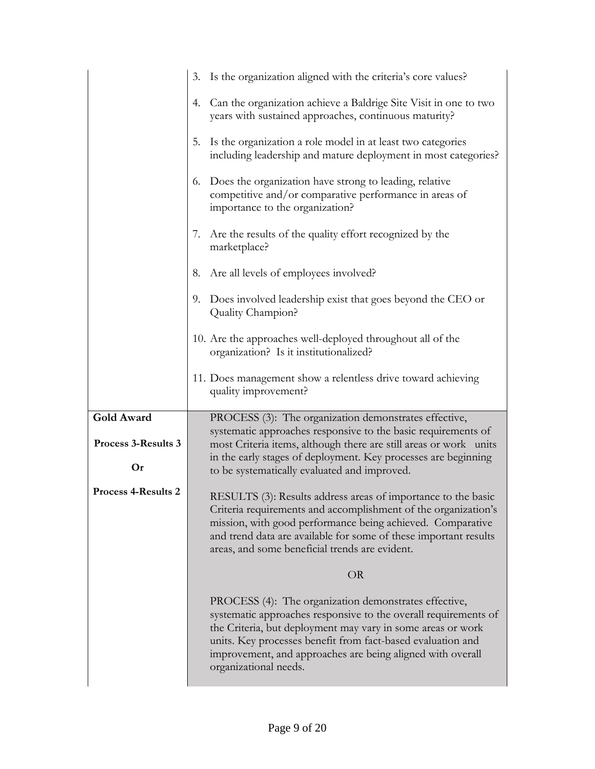|                     | Is the organization aligned with the criteria's core values?<br>3.                                                                                                                                                                                                                                                                            |  |  |  |  |
|---------------------|-----------------------------------------------------------------------------------------------------------------------------------------------------------------------------------------------------------------------------------------------------------------------------------------------------------------------------------------------|--|--|--|--|
|                     | Can the organization achieve a Baldrige Site Visit in one to two<br>4.<br>years with sustained approaches, continuous maturity?                                                                                                                                                                                                               |  |  |  |  |
|                     | Is the organization a role model in at least two categories<br>5.<br>including leadership and mature deployment in most categories?                                                                                                                                                                                                           |  |  |  |  |
|                     | Does the organization have strong to leading, relative<br>6.<br>competitive and/or comparative performance in areas of<br>importance to the organization?                                                                                                                                                                                     |  |  |  |  |
|                     | Are the results of the quality effort recognized by the<br>$\mathcal{L}$ .<br>marketplace?                                                                                                                                                                                                                                                    |  |  |  |  |
|                     | Are all levels of employees involved?<br>8.                                                                                                                                                                                                                                                                                                   |  |  |  |  |
|                     | Does involved leadership exist that goes beyond the CEO or<br>9.<br>Quality Champion?                                                                                                                                                                                                                                                         |  |  |  |  |
|                     | 10. Are the approaches well-deployed throughout all of the<br>organization? Is it institutionalized?                                                                                                                                                                                                                                          |  |  |  |  |
|                     | 11. Does management show a relentless drive toward achieving<br>quality improvement?                                                                                                                                                                                                                                                          |  |  |  |  |
| Gold Award          | PROCESS (3): The organization demonstrates effective,                                                                                                                                                                                                                                                                                         |  |  |  |  |
| Process 3-Results 3 | systematic approaches responsive to the basic requirements of<br>most Criteria items, although there are still areas or work units                                                                                                                                                                                                            |  |  |  |  |
| Or                  | in the early stages of deployment. Key processes are beginning<br>to be systematically evaluated and improved.                                                                                                                                                                                                                                |  |  |  |  |
| Process 4-Results 2 | RESULTS (3): Results address areas of importance to the basic<br>Criteria requirements and accomplishment of the organization's<br>mission, with good performance being achieved. Comparative<br>and trend data are available for some of these important results<br>areas, and some beneficial trends are evident.                           |  |  |  |  |
|                     | <b>OR</b>                                                                                                                                                                                                                                                                                                                                     |  |  |  |  |
|                     | PROCESS (4): The organization demonstrates effective,<br>systematic approaches responsive to the overall requirements of<br>the Criteria, but deployment may vary in some areas or work<br>units. Key processes benefit from fact-based evaluation and<br>improvement, and approaches are being aligned with overall<br>organizational needs. |  |  |  |  |
|                     |                                                                                                                                                                                                                                                                                                                                               |  |  |  |  |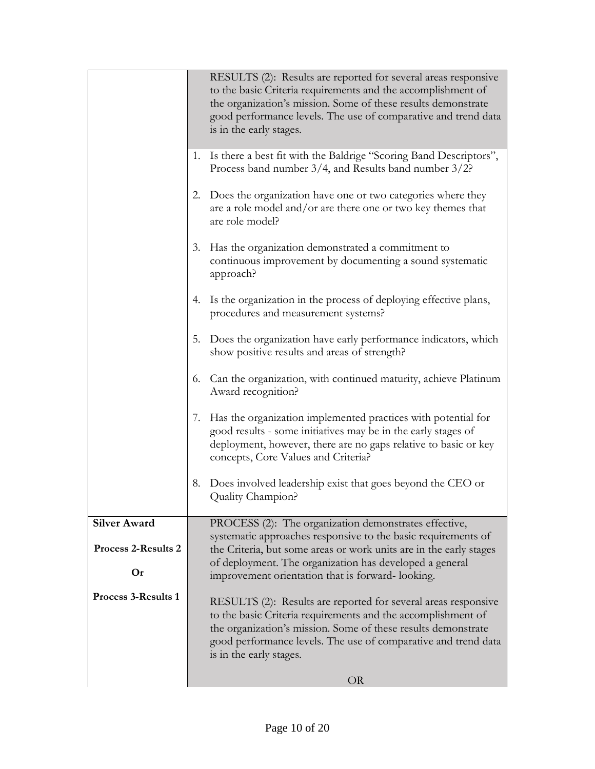|                            |    | RESULTS (2): Results are reported for several areas responsive<br>to the basic Criteria requirements and the accomplishment of<br>the organization's mission. Some of these results demonstrate<br>good performance levels. The use of comparative and trend data                            |  |  |  |  |
|----------------------------|----|----------------------------------------------------------------------------------------------------------------------------------------------------------------------------------------------------------------------------------------------------------------------------------------------|--|--|--|--|
|                            |    | is in the early stages.                                                                                                                                                                                                                                                                      |  |  |  |  |
|                            | 1. | Is there a best fit with the Baldrige "Scoring Band Descriptors",<br>Process band number $3/4$ , and Results band number $3/2$ ?                                                                                                                                                             |  |  |  |  |
|                            | 2. | Does the organization have one or two categories where they<br>are a role model and/or are there one or two key themes that<br>are role model?                                                                                                                                               |  |  |  |  |
|                            | 3. | Has the organization demonstrated a commitment to<br>continuous improvement by documenting a sound systematic<br>approach?                                                                                                                                                                   |  |  |  |  |
|                            | 4. | Is the organization in the process of deploying effective plans,<br>procedures and measurement systems?                                                                                                                                                                                      |  |  |  |  |
|                            | 5. | Does the organization have early performance indicators, which<br>show positive results and areas of strength?                                                                                                                                                                               |  |  |  |  |
|                            | 6. | Can the organization, with continued maturity, achieve Platinum<br>Award recognition?                                                                                                                                                                                                        |  |  |  |  |
|                            | 7. | Has the organization implemented practices with potential for<br>good results - some initiatives may be in the early stages of<br>deployment, however, there are no gaps relative to basic or key<br>concepts, Core Values and Criteria?                                                     |  |  |  |  |
|                            | 8. | Does involved leadership exist that goes beyond the CEO or<br>Quality Champion?                                                                                                                                                                                                              |  |  |  |  |
| <b>Silver Award</b>        |    | PROCESS (2): The organization demonstrates effective,<br>systematic approaches responsive to the basic requirements of                                                                                                                                                                       |  |  |  |  |
| <b>Process 2-Results 2</b> |    | the Criteria, but some areas or work units are in the early stages                                                                                                                                                                                                                           |  |  |  |  |
| Or                         |    | of deployment. The organization has developed a general<br>improvement orientation that is forward-looking.                                                                                                                                                                                  |  |  |  |  |
| <b>Process 3-Results 1</b> |    | RESULTS (2): Results are reported for several areas responsive<br>to the basic Criteria requirements and the accomplishment of<br>the organization's mission. Some of these results demonstrate<br>good performance levels. The use of comparative and trend data<br>is in the early stages. |  |  |  |  |
|                            |    | <b>OR</b>                                                                                                                                                                                                                                                                                    |  |  |  |  |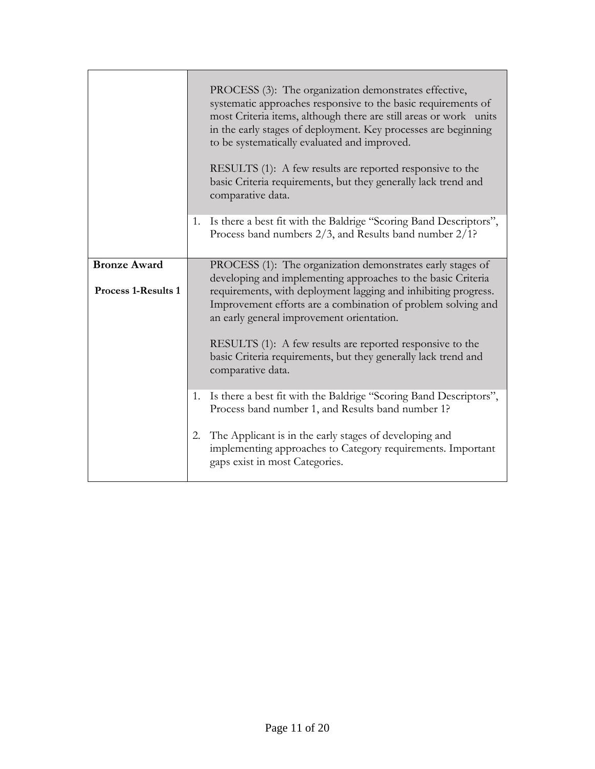|                                                   |    | PROCESS (3): The organization demonstrates effective,<br>systematic approaches responsive to the basic requirements of<br>most Criteria items, although there are still areas or work units<br>in the early stages of deployment. Key processes are beginning<br>to be systematically evaluated and improved.<br>RESULTS (1): A few results are reported responsive to the<br>basic Criteria requirements, but they generally lack trend and<br>comparative data. |
|---------------------------------------------------|----|-------------------------------------------------------------------------------------------------------------------------------------------------------------------------------------------------------------------------------------------------------------------------------------------------------------------------------------------------------------------------------------------------------------------------------------------------------------------|
|                                                   | 1. | Is there a best fit with the Baldrige "Scoring Band Descriptors",<br>Process band numbers 2/3, and Results band number 2/1?                                                                                                                                                                                                                                                                                                                                       |
| <b>Bronze Award</b><br><b>Process 1-Results 1</b> |    | PROCESS (1): The organization demonstrates early stages of<br>developing and implementing approaches to the basic Criteria<br>requirements, with deployment lagging and inhibiting progress.<br>Improvement efforts are a combination of problem solving and<br>an early general improvement orientation.                                                                                                                                                         |
|                                                   |    | RESULTS (1): A few results are reported responsive to the<br>basic Criteria requirements, but they generally lack trend and<br>comparative data.                                                                                                                                                                                                                                                                                                                  |
|                                                   | 1. | Is there a best fit with the Baldrige "Scoring Band Descriptors",<br>Process band number 1, and Results band number 1?                                                                                                                                                                                                                                                                                                                                            |
|                                                   | 2. | The Applicant is in the early stages of developing and<br>implementing approaches to Category requirements. Important<br>gaps exist in most Categories.                                                                                                                                                                                                                                                                                                           |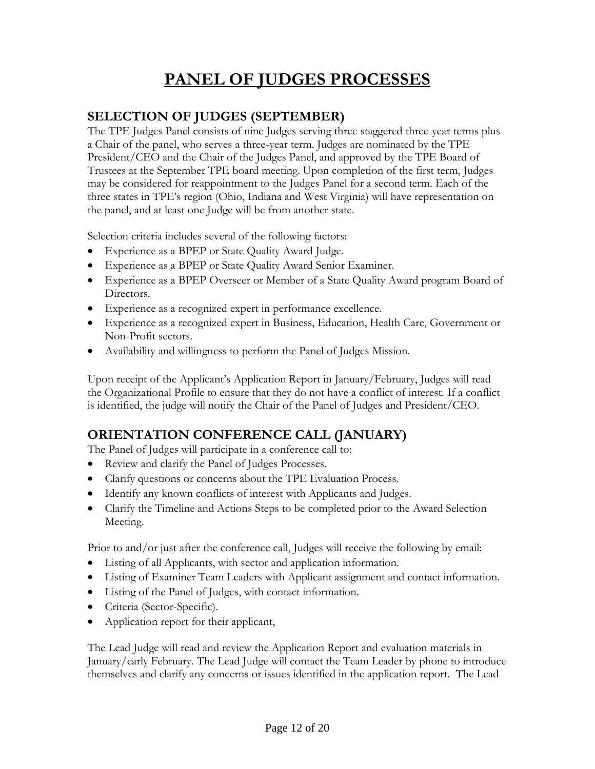## **PANEL OF JUDGES PROCESSES**

#### **SELECTION OF JUDGES (SEPTEMBER)**

The TPE Judges Panel consists of nine Judges serving three staggered three-year terms plus a Chair of the panel, who serves a three-year term. Judges are nominated by the TPE President/CEO and the Chair of the Judges Panel, and approved by the TPE Board of Trustees at the September TPE board meeting. Upon completion of the first term, Judges may be considered for reappointment to the Judges Panel for a second term. Each of the three states in TPE's region (Ohio, Indiana and West Virginia) will have representation on the panel, and at least one Judge will be from another state.

Selection criteria includes several of the following factors:

- Experience as a BPEP or State Quality Award Judge.
- Experience as a BPEP or State Quality Award Senior Examiner.
- Experience as a BPEP Overseer or Member of a State Quality Award program Board of Directors.
- Experience as a recognized expert in performance excellence.
- Experience as a recognized expert in Business, Education, Health Care, Government or Non-Profit sectors.
- Availability and willingness to perform the Panel of Judges Mission.

Upon receipt of the Applicant's Application Report in January/February, Judges will read the Organizational Profile to ensure that they do not have a conflict of interest. If a conflict is identified, the judge will notify the Chair of the Panel of Judges and President/CEO.

#### **ORIENTATION CONFERENCE CALL (JANUARY)**

The Panel of Judges will participate in a conference call to:

- Review and clarify the Panel of Judges Processes.
- Clarify questions or concerns about the TPE Evaluation Process.
- Identify any known conflicts of interest with Applicants and Judges.
- Clarify the Timeline and Actions Steps to be completed prior to the Award Selection Meeting.

Prior to and/or just after the conference call, Judges will receive the following by email:

- Listing of all Applicants, with sector and application information.
- Listing of Examiner Team Leaders with Applicant assignment and contact information.
- Listing of the Panel of Judges, with contact information.
- Criteria (Sector-Specific).
- Application report for their applicant,

The Lead Judge will read and review the Application Report and evaluation materials in January/early February. The Lead Judge will contact the Team Leader by phone to introduce themselves and clarify any concerns or issues identified in the application report. The Lead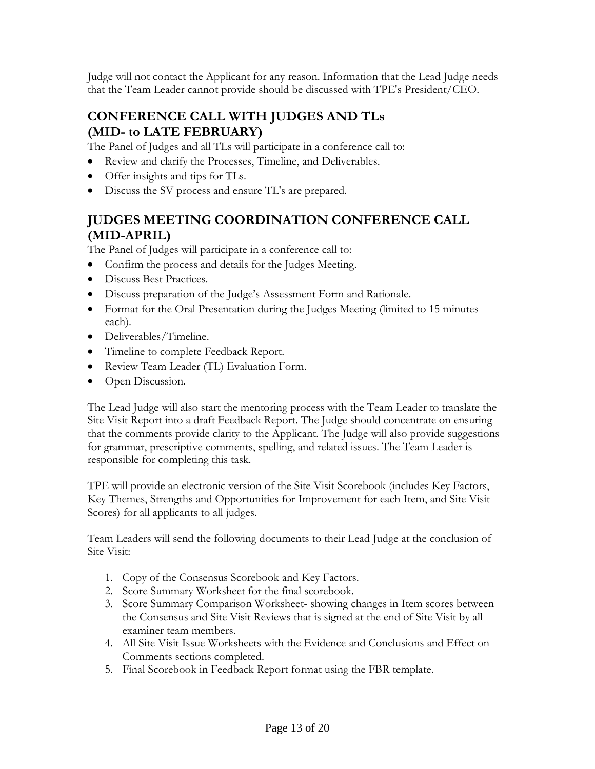Judge will not contact the Applicant for any reason. Information that the Lead Judge needs that the Team Leader cannot provide should be discussed with TPE's President/CEO.

#### **CONFERENCE CALL WITH JUDGES AND TLs (MID- to LATE FEBRUARY)**

The Panel of Judges and all TLs will participate in a conference call to:

- Review and clarify the Processes, Timeline, and Deliverables.
- Offer insights and tips for TLs.
- Discuss the SV process and ensure TL's are prepared.

#### **JUDGES MEETING COORDINATION CONFERENCE CALL (MID-APRIL)**

The Panel of Judges will participate in a conference call to:

- Confirm the process and details for the Judges Meeting.
- Discuss Best Practices.
- Discuss preparation of the Judge's Assessment Form and Rationale.
- Format for the Oral Presentation during the Judges Meeting (limited to 15 minutes each).
- Deliverables/Timeline.
- Timeline to complete Feedback Report.
- Review Team Leader (TL) Evaluation Form.
- Open Discussion.

The Lead Judge will also start the mentoring process with the Team Leader to translate the Site Visit Report into a draft Feedback Report. The Judge should concentrate on ensuring that the comments provide clarity to the Applicant. The Judge will also provide suggestions for grammar, prescriptive comments, spelling, and related issues. The Team Leader is responsible for completing this task.

TPE will provide an electronic version of the Site Visit Scorebook (includes Key Factors, Key Themes, Strengths and Opportunities for Improvement for each Item, and Site Visit Scores) for all applicants to all judges.

Team Leaders will send the following documents to their Lead Judge at the conclusion of Site Visit:

- 1. Copy of the Consensus Scorebook and Key Factors.
- 2. Score Summary Worksheet for the final scorebook.
- 3. Score Summary Comparison Worksheet- showing changes in Item scores between the Consensus and Site Visit Reviews that is signed at the end of Site Visit by all examiner team members.
- 4. All Site Visit Issue Worksheets with the Evidence and Conclusions and Effect on Comments sections completed.
- 5. Final Scorebook in Feedback Report format using the FBR template.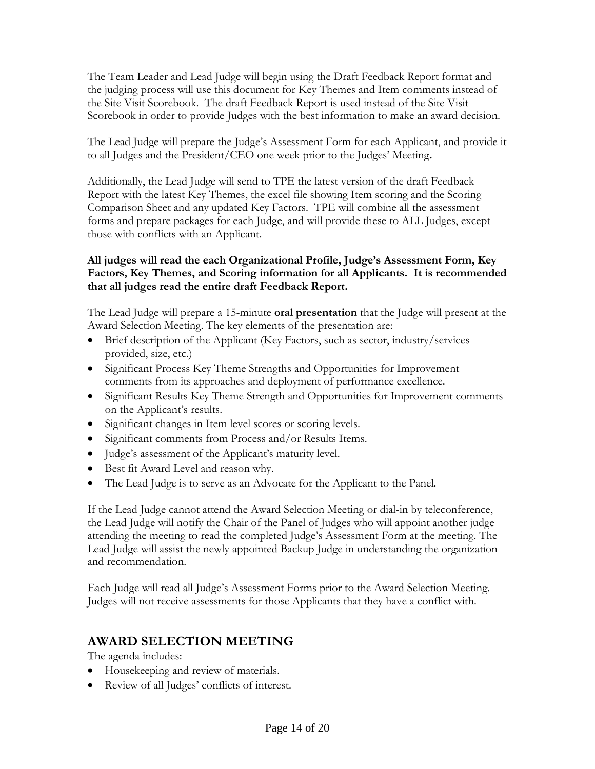The Team Leader and Lead Judge will begin using the Draft Feedback Report format and the judging process will use this document for Key Themes and Item comments instead of the Site Visit Scorebook. The draft Feedback Report is used instead of the Site Visit Scorebook in order to provide Judges with the best information to make an award decision.

The Lead Judge will prepare the Judge's Assessment Form for each Applicant, and provide it to all Judges and the President/CEO one week prior to the Judges' Meeting**.** 

Additionally, the Lead Judge will send to TPE the latest version of the draft Feedback Report with the latest Key Themes, the excel file showing Item scoring and the Scoring Comparison Sheet and any updated Key Factors. TPE will combine all the assessment forms and prepare packages for each Judge, and will provide these to ALL Judges, except those with conflicts with an Applicant.

#### **All judges will read the each Organizational Profile, Judge's Assessment Form, Key Factors, Key Themes, and Scoring information for all Applicants. It is recommended that all judges read the entire draft Feedback Report.**

The Lead Judge will prepare a 15-minute **oral presentation** that the Judge will present at the Award Selection Meeting. The key elements of the presentation are:

- Brief description of the Applicant (Key Factors, such as sector, industry/services provided, size, etc.)
- Significant Process Key Theme Strengths and Opportunities for Improvement comments from its approaches and deployment of performance excellence.
- Significant Results Key Theme Strength and Opportunities for Improvement comments on the Applicant's results.
- Significant changes in Item level scores or scoring levels.
- Significant comments from Process and/or Results Items.
- Judge's assessment of the Applicant's maturity level.
- Best fit Award Level and reason why.
- The Lead Judge is to serve as an Advocate for the Applicant to the Panel.

If the Lead Judge cannot attend the Award Selection Meeting or dial-in by teleconference, the Lead Judge will notify the Chair of the Panel of Judges who will appoint another judge attending the meeting to read the completed Judge's Assessment Form at the meeting. The Lead Judge will assist the newly appointed Backup Judge in understanding the organization and recommendation.

Each Judge will read all Judge's Assessment Forms prior to the Award Selection Meeting. Judges will not receive assessments for those Applicants that they have a conflict with.

#### **AWARD SELECTION MEETING**

The agenda includes:

- Housekeeping and review of materials.
- Review of all Judges' conflicts of interest.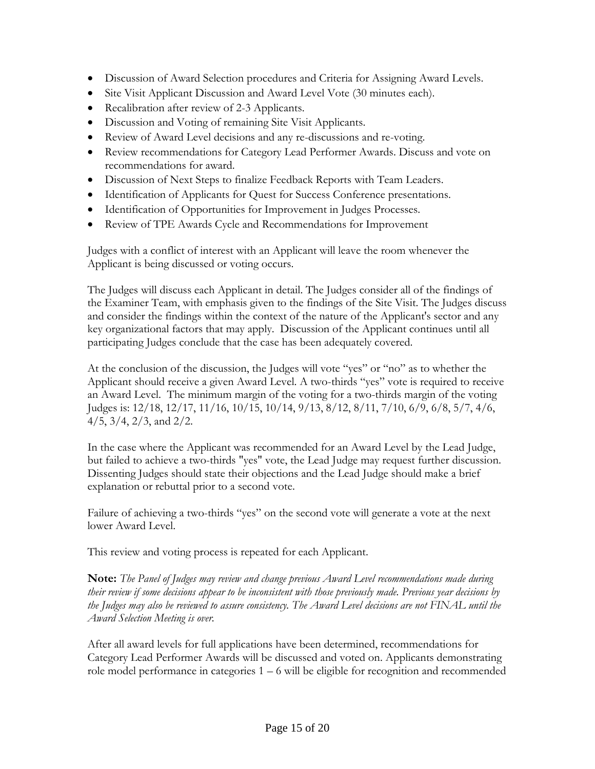- Discussion of Award Selection procedures and Criteria for Assigning Award Levels.
- Site Visit Applicant Discussion and Award Level Vote (30 minutes each).
- Recalibration after review of 2-3 Applicants.
- Discussion and Voting of remaining Site Visit Applicants.
- Review of Award Level decisions and any re-discussions and re-voting.
- Review recommendations for Category Lead Performer Awards. Discuss and vote on recommendations for award.
- Discussion of Next Steps to finalize Feedback Reports with Team Leaders.
- Identification of Applicants for Quest for Success Conference presentations.
- Identification of Opportunities for Improvement in Judges Processes.
- Review of TPE Awards Cycle and Recommendations for Improvement

Judges with a conflict of interest with an Applicant will leave the room whenever the Applicant is being discussed or voting occurs.

The Judges will discuss each Applicant in detail. The Judges consider all of the findings of the Examiner Team, with emphasis given to the findings of the Site Visit. The Judges discuss and consider the findings within the context of the nature of the Applicant's sector and any key organizational factors that may apply. Discussion of the Applicant continues until all participating Judges conclude that the case has been adequately covered.

At the conclusion of the discussion, the Judges will vote "yes" or "no" as to whether the Applicant should receive a given Award Level. A two-thirds "yes" vote is required to receive an Award Level. The minimum margin of the voting for a two-thirds margin of the voting Judges is: 12/18, 12/17, 11/16, 10/15, 10/14, 9/13, 8/12, 8/11, 7/10, 6/9, 6/8, 5/7, 4/6, 4/5, 3/4, 2/3, and 2/2.

In the case where the Applicant was recommended for an Award Level by the Lead Judge, but failed to achieve a two-thirds "yes" vote, the Lead Judge may request further discussion. Dissenting Judges should state their objections and the Lead Judge should make a brief explanation or rebuttal prior to a second vote.

Failure of achieving a two-thirds "yes" on the second vote will generate a vote at the next lower Award Level.

This review and voting process is repeated for each Applicant.

**Note:** *The Panel of Judges may review and change previous Award Level recommendations made during their review if some decisions appear to be inconsistent with those previously made. Previous year decisions by the Judges may also be reviewed to assure consistency. The Award Level decisions are not FINAL until the Award Selection Meeting is over.*

After all award levels for full applications have been determined, recommendations for Category Lead Performer Awards will be discussed and voted on. Applicants demonstrating role model performance in categories  $1 - 6$  will be eligible for recognition and recommended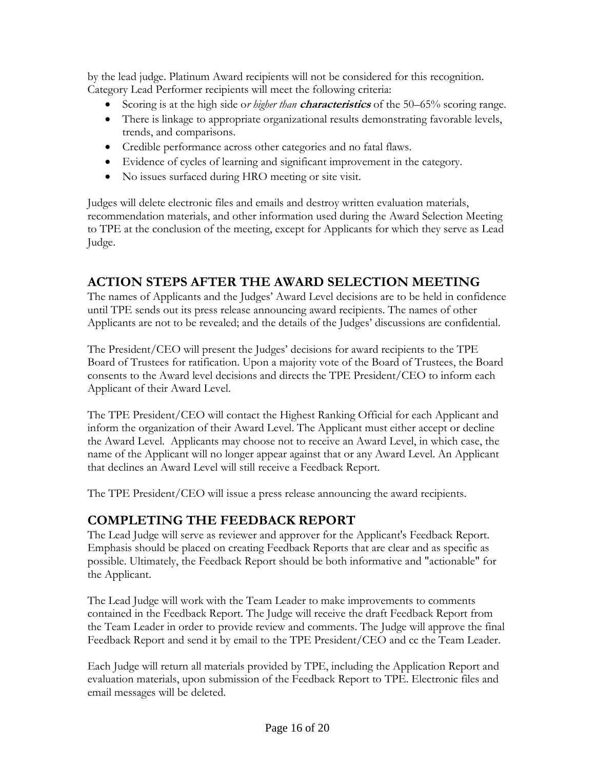by the lead judge. Platinum Award recipients will not be considered for this recognition. Category Lead Performer recipients will meet the following criteria:

- Scoring is at the high side o*r higher than* **characteristics** of the 50–65% scoring range.
- There is linkage to appropriate organizational results demonstrating favorable levels, trends, and comparisons.
- Credible performance across other categories and no fatal flaws.
- Evidence of cycles of learning and significant improvement in the category.
- No issues surfaced during HRO meeting or site visit.

Judges will delete electronic files and emails and destroy written evaluation materials, recommendation materials, and other information used during the Award Selection Meeting to TPE at the conclusion of the meeting, except for Applicants for which they serve as Lead Judge.

#### **ACTION STEPS AFTER THE AWARD SELECTION MEETING**

The names of Applicants and the Judges' Award Level decisions are to be held in confidence until TPE sends out its press release announcing award recipients. The names of other Applicants are not to be revealed; and the details of the Judges' discussions are confidential.

The President/CEO will present the Judges' decisions for award recipients to the TPE Board of Trustees for ratification. Upon a majority vote of the Board of Trustees, the Board consents to the Award level decisions and directs the TPE President/CEO to inform each Applicant of their Award Level.

The TPE President/CEO will contact the Highest Ranking Official for each Applicant and inform the organization of their Award Level. The Applicant must either accept or decline the Award Level. Applicants may choose not to receive an Award Level, in which case, the name of the Applicant will no longer appear against that or any Award Level. An Applicant that declines an Award Level will still receive a Feedback Report.

The TPE President/CEO will issue a press release announcing the award recipients.

#### **COMPLETING THE FEEDBACK REPORT**

The Lead Judge will serve as reviewer and approver for the Applicant's Feedback Report. Emphasis should be placed on creating Feedback Reports that are clear and as specific as possible. Ultimately, the Feedback Report should be both informative and "actionable" for the Applicant.

The Lead Judge will work with the Team Leader to make improvements to comments contained in the Feedback Report. The Judge will receive the draft Feedback Report from the Team Leader in order to provide review and comments. The Judge will approve the final Feedback Report and send it by email to the TPE President/CEO and cc the Team Leader.

Each Judge will return all materials provided by TPE, including the Application Report and evaluation materials, upon submission of the Feedback Report to TPE. Electronic files and email messages will be deleted.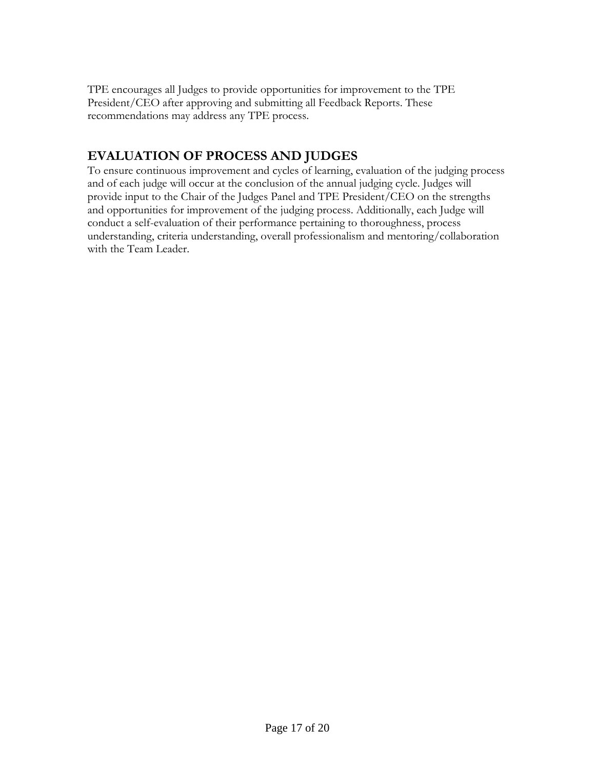TPE encourages all Judges to provide opportunities for improvement to the TPE President/CEO after approving and submitting all Feedback Reports. These recommendations may address any TPE process.

#### **EVALUATION OF PROCESS AND JUDGES**

To ensure continuous improvement and cycles of learning, evaluation of the judging process and of each judge will occur at the conclusion of the annual judging cycle. Judges will provide input to the Chair of the Judges Panel and TPE President/CEO on the strengths and opportunities for improvement of the judging process. Additionally, each Judge will conduct a self-evaluation of their performance pertaining to thoroughness, process understanding, criteria understanding, overall professionalism and mentoring/collaboration with the Team Leader.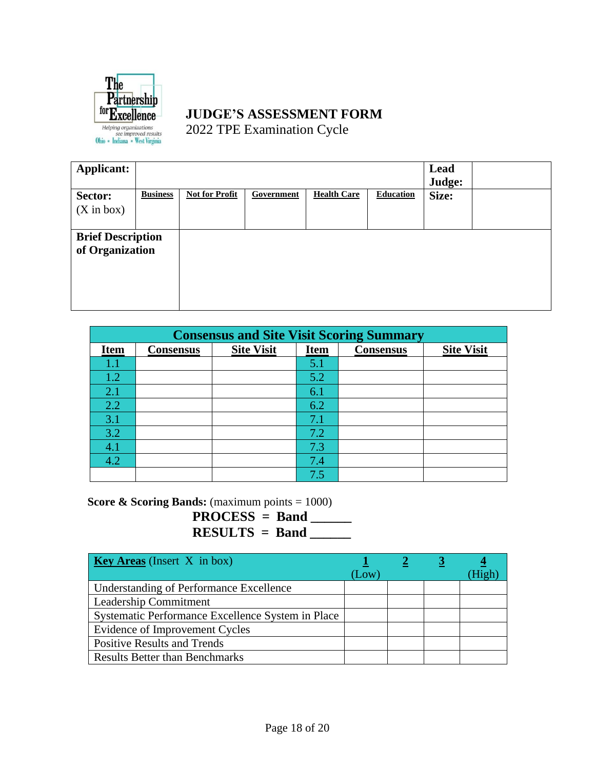

#### **JUDGE'S ASSESSMENT FORM** 2022 TPE Examination Cycle

| <b>Applicant:</b>                           |                 |                       |            |                    |                  | Lead<br>Judge: |  |
|---------------------------------------------|-----------------|-----------------------|------------|--------------------|------------------|----------------|--|
| Sector:                                     | <b>Business</b> | <b>Not for Profit</b> | Government | <b>Health Care</b> | <b>Education</b> | Size:          |  |
| $(X \text{ in box})$                        |                 |                       |            |                    |                  |                |  |
| <b>Brief Description</b><br>of Organization |                 |                       |            |                    |                  |                |  |

| <b>Consensus and Site Visit Scoring Summary</b> |                  |                   |             |                  |                   |
|-------------------------------------------------|------------------|-------------------|-------------|------------------|-------------------|
| <b>Item</b>                                     | <b>Consensus</b> | <b>Site Visit</b> | <b>Item</b> | <b>Consensus</b> | <b>Site Visit</b> |
| $1.1\,$                                         |                  |                   | 5.1         |                  |                   |
| 1.2                                             |                  |                   | 5.2         |                  |                   |
| 2.1                                             |                  |                   | 6.1         |                  |                   |
| 2.2                                             |                  |                   | 6.2         |                  |                   |
| 3.1                                             |                  |                   | 7.1         |                  |                   |
| 3.2                                             |                  |                   | 7.2         |                  |                   |
| 4.1                                             |                  |                   | 7.3         |                  |                   |
| 4.2                                             |                  |                   | 7.4         |                  |                   |
|                                                 |                  |                   | 7.5         |                  |                   |

**Score & Scoring Bands:** (maximum points = 1000)

**PROCESS = Band \_\_\_\_\_\_ RESULTS = Band \_\_\_\_\_\_**

| <b>Key Areas</b> (Insert $X$ in box)              | $\mathsf{Low}$ ) |  |  |
|---------------------------------------------------|------------------|--|--|
| <b>Understanding of Performance Excellence</b>    |                  |  |  |
| Leadership Commitment                             |                  |  |  |
| Systematic Performance Excellence System in Place |                  |  |  |
| Evidence of Improvement Cycles                    |                  |  |  |
| <b>Positive Results and Trends</b>                |                  |  |  |
| <b>Results Better than Benchmarks</b>             |                  |  |  |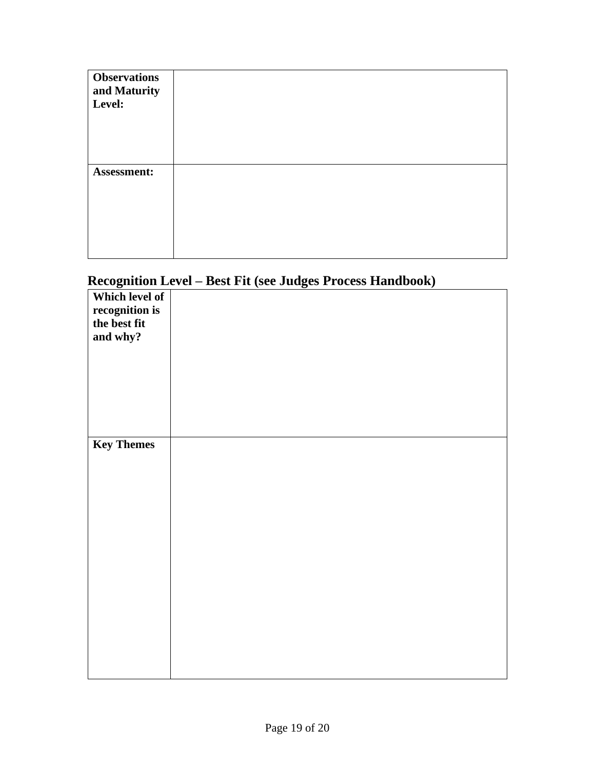| <b>Observations</b><br>and Maturity<br>Level: |  |
|-----------------------------------------------|--|
| Assessment:                                   |  |

### **Recognition Level – Best Fit (see Judges Process Handbook)**

| $\overline{a}$    | ╲ | o |  |
|-------------------|---|---|--|
| Which level of    |   |   |  |
| recognition is    |   |   |  |
| the best fit      |   |   |  |
|                   |   |   |  |
| and why?          |   |   |  |
|                   |   |   |  |
|                   |   |   |  |
|                   |   |   |  |
|                   |   |   |  |
|                   |   |   |  |
|                   |   |   |  |
|                   |   |   |  |
|                   |   |   |  |
| <b>Key Themes</b> |   |   |  |
|                   |   |   |  |
|                   |   |   |  |
|                   |   |   |  |
|                   |   |   |  |
|                   |   |   |  |
|                   |   |   |  |
|                   |   |   |  |
|                   |   |   |  |
|                   |   |   |  |
|                   |   |   |  |
|                   |   |   |  |
|                   |   |   |  |
|                   |   |   |  |
|                   |   |   |  |
|                   |   |   |  |
|                   |   |   |  |
|                   |   |   |  |
|                   |   |   |  |
|                   |   |   |  |
|                   |   |   |  |